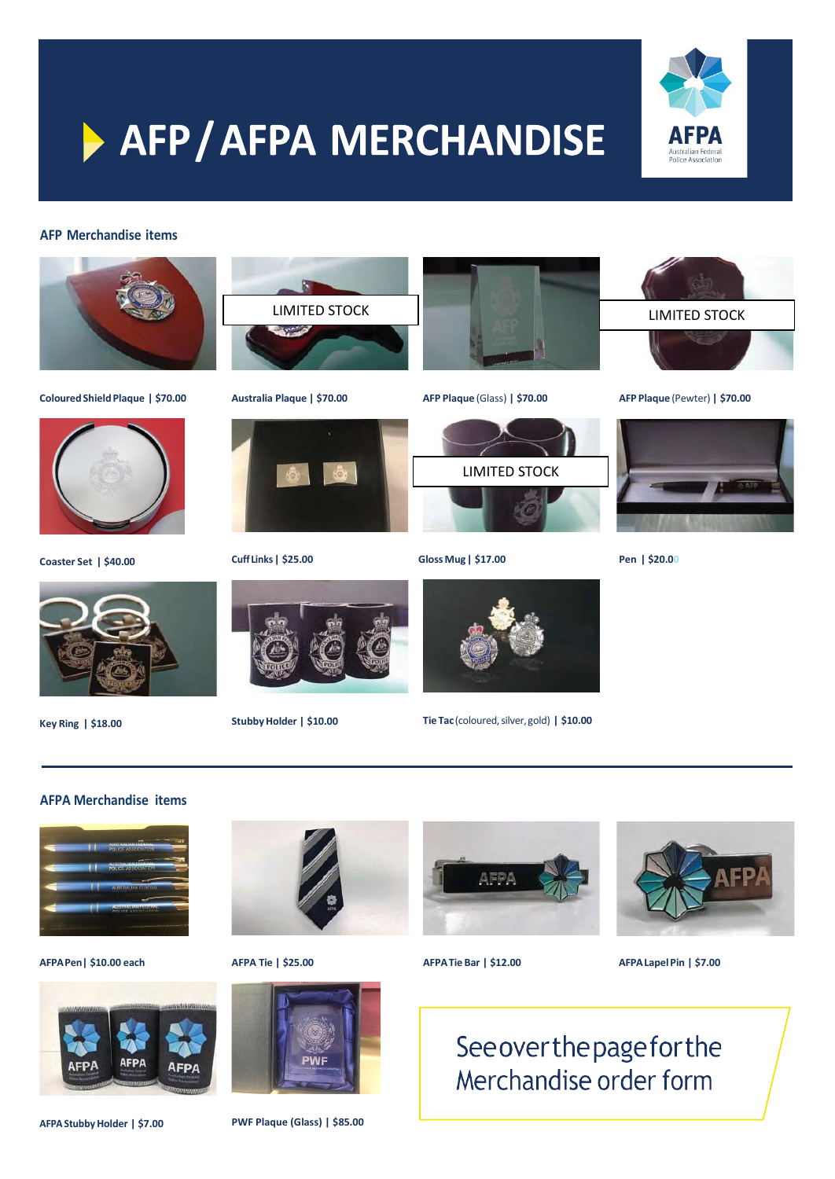

# > AFP/AFPA MERCHANDISE

#### **AFP Merchandise items**



**ColouredShieldPlaque | \$70.00**



**Coaster Set | \$40.00**



**Key Ring | \$18.00**



**Australia Plaque | \$70.00**



**Cuff Links| \$25.00**



**StubbyHolder | \$10.00**





**GlossMug| \$17.00**



**Tie Tac**(coloured,silver,gold) **| \$10.00**



**AFP Plaque** (Pewter) **| \$70.00**



**Pen | \$20.00**

**AFPA Merchandise items**



**AFPAPen| \$10.00 each**





**AFPA Tie | \$25.00**



**PWF Plaque (Glass) | \$85.00**



**AFPATie Bar | \$12.00 AFPALapelPin | \$7.00**

Seeoverthepageforthe Merchandise order form